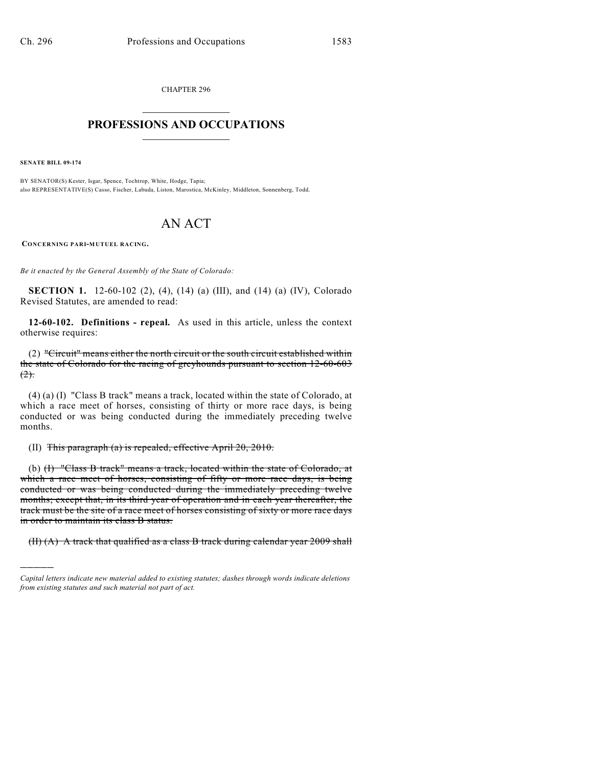CHAPTER 296  $\overline{\phantom{a}}$  . The set of the set of the set of the set of the set of the set of the set of the set of the set of the set of the set of the set of the set of the set of the set of the set of the set of the set of the set o

## **PROFESSIONS AND OCCUPATIONS**  $\frac{1}{2}$  ,  $\frac{1}{2}$  ,  $\frac{1}{2}$  ,  $\frac{1}{2}$  ,  $\frac{1}{2}$  ,  $\frac{1}{2}$

**SENATE BILL 09-174**

)))))

BY SENATOR(S) Kester, Isgar, Spence, Tochtrop, White, Hodge, Tapia; also REPRESENTATIVE(S) Casso, Fischer, Labuda, Liston, Marostica, McKinley, Middleton, Sonnenberg, Todd.

# AN ACT

**CONCERNING PARI-MUTUEL RACING.**

*Be it enacted by the General Assembly of the State of Colorado:*

**SECTION 1.** 12-60-102 (2), (4), (14) (a) (III), and (14) (a) (IV), Colorado Revised Statutes, are amended to read:

**12-60-102. Definitions - repeal.** As used in this article, unless the context otherwise requires:

(2) "Circuit" means either the north circuit or the south circuit established within the state of Colorado for the racing of greyhounds pursuant to section 12-60-603  $(2)$ .

(4) (a) (I) "Class B track" means a track, located within the state of Colorado, at which a race meet of horses, consisting of thirty or more race days, is being conducted or was being conducted during the immediately preceding twelve months.

(II) This paragraph (a) is repealed, effective April 20, 2010.

(b) (I) "Class B track" means a track, located within the state of Colorado, at which a race meet of horses, consisting of fifty or more race days, is being conducted or was being conducted during the immediately preceding twelve months; except that, in its third year of operation and in each year thereafter, the track must be the site of a race meet of horses consisting of sixty or more race days in order to maintain its class B status.

 $(H)$  (A) A track that qualified as a class B track during calendar year 2009 shall

*Capital letters indicate new material added to existing statutes; dashes through words indicate deletions from existing statutes and such material not part of act.*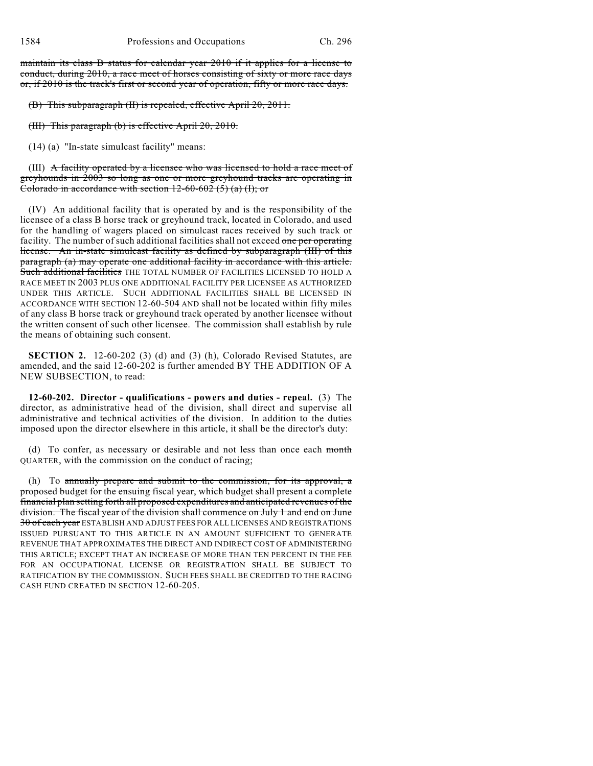maintain its class B status for calendar year 2010 if it applies for a license to conduct, during 2010, a race meet of horses consisting of sixty or more race days or, if 2010 is the track's first or second year of operation, fifty or more race days.

(B) This subparagraph (II) is repealed, effective April 20, 2011.

(III) This paragraph (b) is effective April 20, 2010.

(14) (a) "In-state simulcast facility" means:

(III) A facility operated by a licensee who was licensed to hold a race meet of greyhounds in 2003 so long as one or more greyhound tracks are operating in Colorado in accordance with section  $12-60-602$  (5) (a) (I); or

(IV) An additional facility that is operated by and is the responsibility of the licensee of a class B horse track or greyhound track, located in Colorado, and used for the handling of wagers placed on simulcast races received by such track or facility. The number of such additional facilities shall not exceed one per operating license. An in-state simulcast facility as defined by subparagraph (III) of this paragraph (a) may operate one additional facility in accordance with this article. Such additional facilities THE TOTAL NUMBER OF FACILITIES LICENSED TO HOLD A RACE MEET IN 2003 PLUS ONE ADDITIONAL FACILITY PER LICENSEE AS AUTHORIZED UNDER THIS ARTICLE. SUCH ADDITIONAL FACILITIES SHALL BE LICENSED IN ACCORDANCE WITH SECTION 12-60-504 AND shall not be located within fifty miles of any class B horse track or greyhound track operated by another licensee without the written consent of such other licensee. The commission shall establish by rule the means of obtaining such consent.

**SECTION 2.** 12-60-202 (3) (d) and (3) (h), Colorado Revised Statutes, are amended, and the said 12-60-202 is further amended BY THE ADDITION OF A NEW SUBSECTION, to read:

**12-60-202. Director - qualifications - powers and duties - repeal.** (3) The director, as administrative head of the division, shall direct and supervise all administrative and technical activities of the division. In addition to the duties imposed upon the director elsewhere in this article, it shall be the director's duty:

(d) To confer, as necessary or desirable and not less than once each month QUARTER, with the commission on the conduct of racing;

(h) To annually prepare and submit to the commission, for its approval, a proposed budget for the ensuing fiscal year, which budget shall present a complete financial plan setting forth all proposed expenditures and anticipated revenues of the division. The fiscal year of the division shall commence on July 1 and end on June 30 of each year ESTABLISH AND ADJUST FEES FOR ALL LICENSES AND REGISTRATIONS ISSUED PURSUANT TO THIS ARTICLE IN AN AMOUNT SUFFICIENT TO GENERATE REVENUE THAT APPROXIMATES THE DIRECT AND INDIRECT COST OF ADMINISTERING THIS ARTICLE; EXCEPT THAT AN INCREASE OF MORE THAN TEN PERCENT IN THE FEE FOR AN OCCUPATIONAL LICENSE OR REGISTRATION SHALL BE SUBJECT TO RATIFICATION BY THE COMMISSION. SUCH FEES SHALL BE CREDITED TO THE RACING CASH FUND CREATED IN SECTION 12-60-205.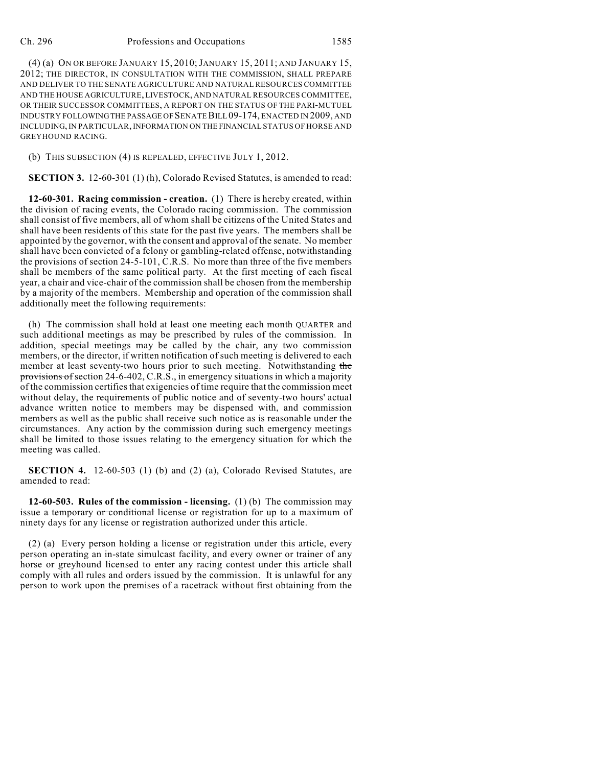#### Ch. 296 Professions and Occupations 1585

(4) (a) ON OR BEFORE JANUARY 15, 2010;JANUARY 15, 2011; AND JANUARY 15, 2012; THE DIRECTOR, IN CONSULTATION WITH THE COMMISSION, SHALL PREPARE AND DELIVER TO THE SENATE AGRICULTURE AND NATURAL RESOURCES COMMITTEE AND THE HOUSE AGRICULTURE, LIVESTOCK, AND NATURAL RESOURCES COMMITTEE, OR THEIR SUCCESSOR COMMITTEES, A REPORT ON THE STATUS OF THE PARI-MUTUEL INDUSTRY FOLLOWING THE PASSAGE OF SENATE BILL 09-174, ENACTED IN 2009, AND INCLUDING, IN PARTICULAR, INFORMATION ON THE FINANCIAL STATUS OF HORSE AND GREYHOUND RACING.

(b) THIS SUBSECTION (4) IS REPEALED, EFFECTIVE JULY 1, 2012.

**SECTION 3.** 12-60-301 (1) (h), Colorado Revised Statutes, is amended to read:

**12-60-301. Racing commission - creation.** (1) There is hereby created, within the division of racing events, the Colorado racing commission. The commission shall consist of five members, all of whom shall be citizens of the United States and shall have been residents of this state for the past five years. The members shall be appointed by the governor, with the consent and approval of the senate. No member shall have been convicted of a felony or gambling-related offense, notwithstanding the provisions of section 24-5-101, C.R.S. No more than three of the five members shall be members of the same political party. At the first meeting of each fiscal year, a chair and vice-chair of the commission shall be chosen from the membership by a majority of the members. Membership and operation of the commission shall additionally meet the following requirements:

(h) The commission shall hold at least one meeting each month QUARTER and such additional meetings as may be prescribed by rules of the commission. In addition, special meetings may be called by the chair, any two commission members, or the director, if written notification of such meeting is delivered to each member at least seventy-two hours prior to such meeting. Notwithstanding the provisions of section 24-6-402, C.R.S., in emergency situations in which a majority of the commission certifies that exigencies of time require that the commission meet without delay, the requirements of public notice and of seventy-two hours' actual advance written notice to members may be dispensed with, and commission members as well as the public shall receive such notice as is reasonable under the circumstances. Any action by the commission during such emergency meetings shall be limited to those issues relating to the emergency situation for which the meeting was called.

**SECTION 4.** 12-60-503 (1) (b) and (2) (a), Colorado Revised Statutes, are amended to read:

**12-60-503. Rules of the commission - licensing.** (1) (b) The commission may issue a temporary or conditional license or registration for up to a maximum of ninety days for any license or registration authorized under this article.

(2) (a) Every person holding a license or registration under this article, every person operating an in-state simulcast facility, and every owner or trainer of any horse or greyhound licensed to enter any racing contest under this article shall comply with all rules and orders issued by the commission. It is unlawful for any person to work upon the premises of a racetrack without first obtaining from the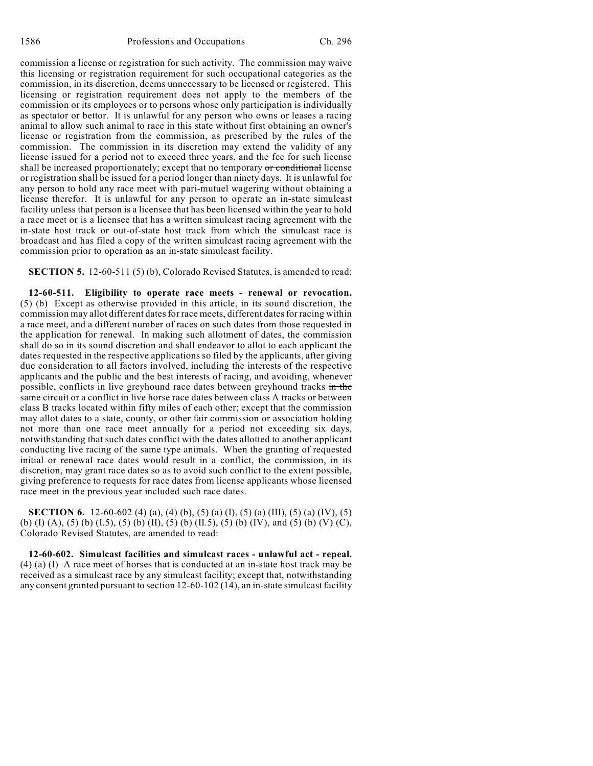commission a license or registration for such activity. The commission may waive this licensing or registration requirement for such occupational categories as the commission, in its discretion, deems unnecessary to be licensed or registered. This licensing or registration requirement does not apply to the members of the commission or its employees or to persons whose only participation is individually as spectator or bettor. It is unlawful for any person who owns or leases a racing animal to allow such animal to race in this state without first obtaining an owner's license or registration from the commission, as prescribed by the rules of the commission. The commission in its discretion may extend the validity of any license issued for a period not to exceed three years, and the fee for such license shall be increased proportionately; except that no temporary or conditional license or registration shall be issued for a period longer than ninety days. It is unlawful for any person to hold any race meet with pari-mutuel wagering without obtaining a license therefor. It is unlawful for any person to operate an in-state simulcast facility unless that person is a licensee that has been licensed within the year to hold a race meet or is a licensee that has a written simulcast racing agreement with the in-state host track or out-of-state host track from which the simulcast race is broadcast and has filed a copy of the written simulcast racing agreement with the commission prior to operation as an in-state simulcast facility.

**SECTION 5.** 12-60-511 (5) (b), Colorado Revised Statutes, is amended to read:

**12-60-511. Eligibility to operate race meets - renewal or revocation.** (5) (b) Except as otherwise provided in this article, in its sound discretion, the commission may allot different dates for race meets, different dates for racing within a race meet, and a different number of races on such dates from those requested in the application for renewal. In making such allotment of dates, the commission shall do so in its sound discretion and shall endeavor to allot to each applicant the dates requested in the respective applications so filed by the applicants, after giving due consideration to all factors involved, including the interests of the respective applicants and the public and the best interests of racing, and avoiding, whenever possible, conflicts in live greyhound race dates between greyhound tracks in the same circuit or a conflict in live horse race dates between class A tracks or between class B tracks located within fifty miles of each other; except that the commission may allot dates to a state, county, or other fair commission or association holding not more than one race meet annually for a period not exceeding six days, notwithstanding that such dates conflict with the dates allotted to another applicant conducting live racing of the same type animals. When the granting of requested initial or renewal race dates would result in a conflict, the commission, in its discretion, may grant race dates so as to avoid such conflict to the extent possible, giving preference to requests for race dates from license applicants whose licensed race meet in the previous year included such race dates.

**SECTION 6.** 12-60-602 (4) (a), (4) (b), (5) (a) (I), (5) (a) (III), (5) (a) (IV), (5) (b) (I) (A), (5) (b) (I.5), (5) (b) (II), (5) (b) (II.5), (5) (b) (IV), and (5) (b) (V) (C), Colorado Revised Statutes, are amended to read:

**12-60-602. Simulcast facilities and simulcast races - unlawful act - repeal.** (4) (a) (I) A race meet of horses that is conducted at an in-state host track may be received as a simulcast race by any simulcast facility; except that, notwithstanding any consent granted pursuant to section 12-60-102 (14), an in-state simulcast facility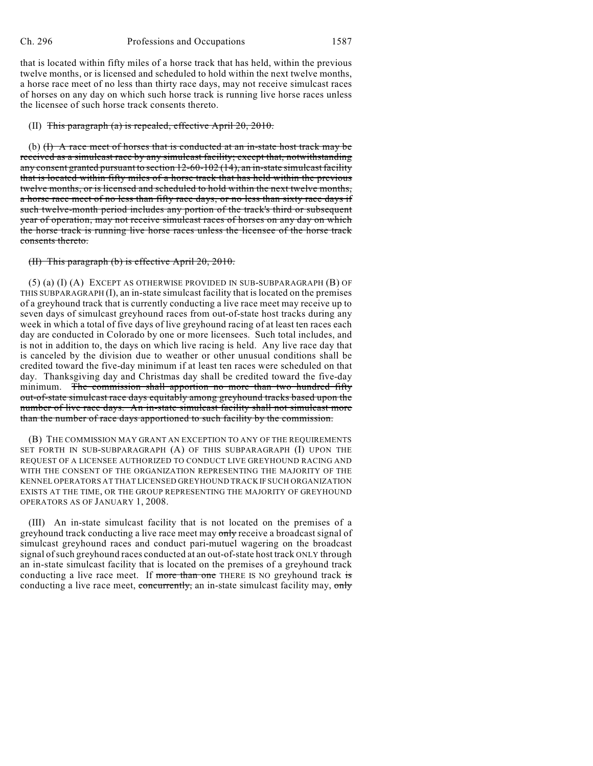that is located within fifty miles of a horse track that has held, within the previous twelve months, or is licensed and scheduled to hold within the next twelve months, a horse race meet of no less than thirty race days, may not receive simulcast races of horses on any day on which such horse track is running live horse races unless the licensee of such horse track consents thereto.

#### (II) This paragraph (a) is repealed, effective April 20, 2010.

(b)  $(H)$  A race meet of horses that is conducted at an in-state host track may be received as a simulcast race by any simulcast facility; except that, notwithstanding any consent granted pursuant to section 12-60-102 (14), an in-state simulcast facility that is located within fifty miles of a horse track that has held within the previous twelve months, or is licensed and scheduled to hold within the next twelve months, a horse race meet of no less than fifty race days, or no less than sixty race days if such twelve-month period includes any portion of the track's third or subsequent year of operation, may not receive simulcast races of horses on any day on which the horse track is running live horse races unless the licensee of the horse track consents thereto.

#### (II) This paragraph (b) is effective April 20, 2010.

(5) (a) (I) (A) EXCEPT AS OTHERWISE PROVIDED IN SUB-SUBPARAGRAPH (B) OF THIS SUBPARAGRAPH (I), an in-state simulcast facility that is located on the premises of a greyhound track that is currently conducting a live race meet may receive up to seven days of simulcast greyhound races from out-of-state host tracks during any week in which a total of five days of live greyhound racing of at least ten races each day are conducted in Colorado by one or more licensees. Such total includes, and is not in addition to, the days on which live racing is held. Any live race day that is canceled by the division due to weather or other unusual conditions shall be credited toward the five-day minimum if at least ten races were scheduled on that day. Thanksgiving day and Christmas day shall be credited toward the five-day minimum. The commission shall apportion no more than two hundred fifty out-of-state simulcast race days equitably among greyhound tracks based upon the number of live race days. An in-state simulcast facility shall not simulcast more than the number of race days apportioned to such facility by the commission.

(B) THE COMMISSION MAY GRANT AN EXCEPTION TO ANY OF THE REQUIREMENTS SET FORTH IN SUB-SUBPARAGRAPH (A) OF THIS SUBPARAGRAPH (I) UPON THE REQUEST OF A LICENSEE AUTHORIZED TO CONDUCT LIVE GREYHOUND RACING AND WITH THE CONSENT OF THE ORGANIZATION REPRESENTING THE MAJORITY OF THE KENNEL OPERATORS AT THAT LICENSED GREYHOUND TRACK IF SUCH ORGANIZATION EXISTS AT THE TIME, OR THE GROUP REPRESENTING THE MAJORITY OF GREYHOUND OPERATORS AS OF JANUARY 1, 2008.

(III) An in-state simulcast facility that is not located on the premises of a greyhound track conducting a live race meet may only receive a broadcast signal of simulcast greyhound races and conduct pari-mutuel wagering on the broadcast signal of such greyhound races conducted at an out-of-state host track ONLY through an in-state simulcast facility that is located on the premises of a greyhound track conducting a live race meet. If more than one THERE IS NO greyhound track is conducting a live race meet, concurrently, an in-state simulcast facility may, only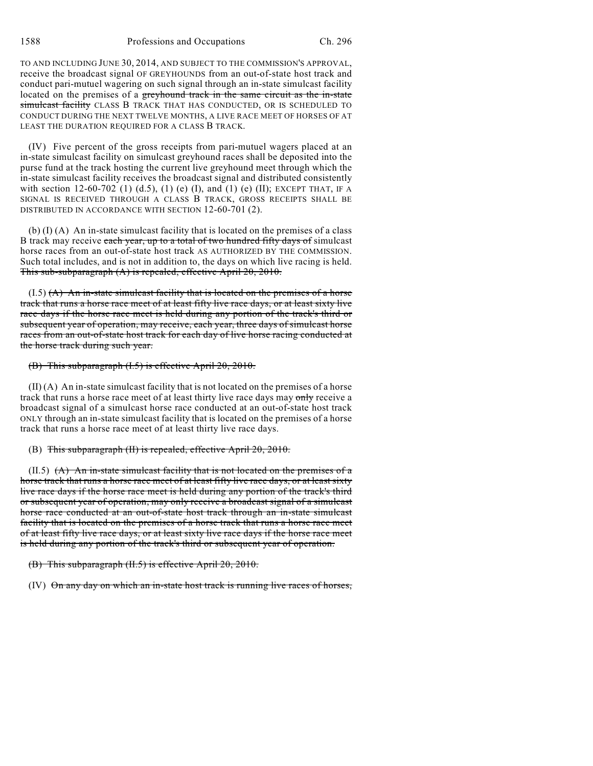1588 Professions and Occupations Ch. 296

TO AND INCLUDING JUNE 30, 2014, AND SUBJECT TO THE COMMISSION'S APPROVAL, receive the broadcast signal OF GREYHOUNDS from an out-of-state host track and conduct pari-mutuel wagering on such signal through an in-state simulcast facility located on the premises of a greyhound track in the same circuit as the in-state simulcast facility CLASS B TRACK THAT HAS CONDUCTED, OR IS SCHEDULED TO CONDUCT DURING THE NEXT TWELVE MONTHS, A LIVE RACE MEET OF HORSES OF AT LEAST THE DURATION REQUIRED FOR A CLASS B TRACK.

(IV) Five percent of the gross receipts from pari-mutuel wagers placed at an in-state simulcast facility on simulcast greyhound races shall be deposited into the purse fund at the track hosting the current live greyhound meet through which the in-state simulcast facility receives the broadcast signal and distributed consistently with section 12-60-702 (1) (d.5), (1) (e) (I), and (1) (e) (II); EXCEPT THAT, IF A SIGNAL IS RECEIVED THROUGH A CLASS B TRACK, GROSS RECEIPTS SHALL BE DISTRIBUTED IN ACCORDANCE WITH SECTION 12-60-701 (2).

(b) (I) (A) An in-state simulcast facility that is located on the premises of a class B track may receive each year, up to a total of two hundred fifty days of simulcast horse races from an out-of-state host track AS AUTHORIZED BY THE COMMISSION. Such total includes, and is not in addition to, the days on which live racing is held. This sub-subparagraph (A) is repealed, effective April 20, 2010.

 $(1.5)$   $(A)$  An in-state simulcast facility that is located on the premises of a horse track that runs a horse race meet of at least fifty live race days, or at least sixty live race days if the horse race meet is held during any portion of the track's third or subsequent year of operation, may receive, each year, three days of simulcast horse races from an out-of-state host track for each day of live horse racing conducted at the horse track during such year.

## (B) This subparagraph (I.5) is effective April 20, 2010.

(II) (A) An in-state simulcast facility that is not located on the premises of a horse track that runs a horse race meet of at least thirty live race days may only receive a broadcast signal of a simulcast horse race conducted at an out-of-state host track ONLY through an in-state simulcast facility that is located on the premises of a horse track that runs a horse race meet of at least thirty live race days.

### (B) This subparagraph (II) is repealed, effective April 20, 2010.

 $(II.5)$   $(A)$  An in-state simulcast facility that is not located on the premises of a horse track that runs a horse race meet of at least fifty live race days, or at least sixty live race days if the horse race meet is held during any portion of the track's third or subsequent year of operation, may only receive a broadcast signal of a simulcast horse race conducted at an out-of-state host track through an in-state simulcast facility that is located on the premises of a horse track that runs a horse race meet of at least fifty live race days, or at least sixty live race days if the horse race meet is held during any portion of the track's third or subsequent year of operation.

(B) This subparagraph (II.5) is effective April 20, 2010.

(IV) On any day on which an in-state host track is running live races of horses,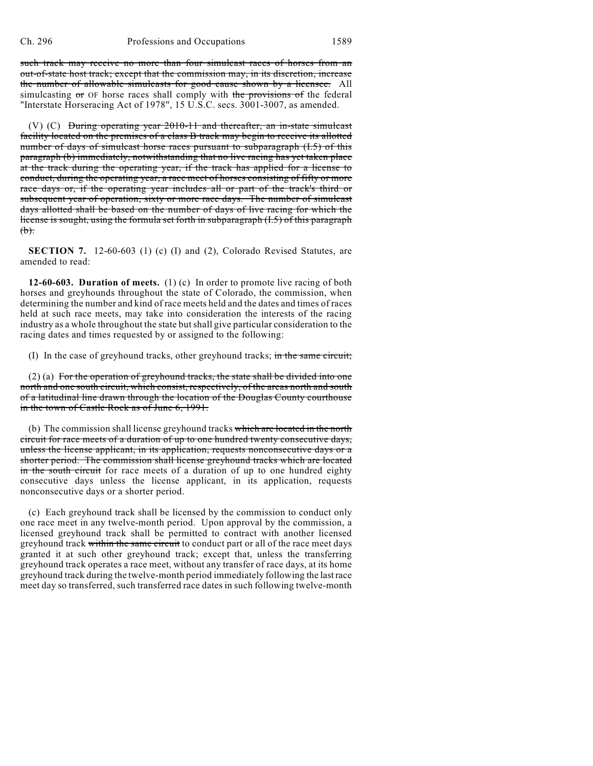such track may receive no more than four simulcast races of horses from an out-of-state host track; except that the commission may, in its discretion, increase the number of allowable simulcasts for good cause shown by a licensee. All simulcasting  $\sigma$  OF horse races shall comply with the provisions of the federal "Interstate Horseracing Act of 1978", 15 U.S.C. secs. 3001-3007, as amended.

(V) (C) During operating year 2010-11 and thereafter, an in-state simulcast facility located on the premises of a class B track may begin to receive its allotted number of days of simulcast horse races pursuant to subparagraph (I.5) of this paragraph (b) immediately, notwithstanding that no live racing has yet taken place at the track during the operating year, if the track has applied for a license to conduct, during the operating year, a race meet of horses consisting of fifty or more race days or, if the operating year includes all or part of the track's third or subsequent year of operation, sixty or more race days. The number of simulcast days allotted shall be based on the number of days of live racing for which the license is sought, using the formula set forth in subparagraph (I.5) of this paragraph  $(b)$ .

**SECTION 7.** 12-60-603 (1) (c) (I) and (2), Colorado Revised Statutes, are amended to read:

**12-60-603. Duration of meets.** (1) (c) In order to promote live racing of both horses and greyhounds throughout the state of Colorado, the commission, when determining the number and kind of race meets held and the dates and times of races held at such race meets, may take into consideration the interests of the racing industry as a whole throughout the state but shall give particular consideration to the racing dates and times requested by or assigned to the following:

(I) In the case of greyhound tracks, other greyhound tracks; in the same circuit;

(2) (a) For the operation of greyhound tracks, the state shall be divided into one north and one south circuit, which consist, respectively, of the areas north and south of a latitudinal line drawn through the location of the Douglas County courthouse in the town of Castle Rock as of June 6, 1991.

(b) The commission shall license greyhound tracks which are located in the north circuit for race meets of a duration of up to one hundred twenty consecutive days, unless the license applicant, in its application, requests nonconsecutive days or a shorter period. The commission shall license greyhound tracks which are located in the south circuit for race meets of a duration of up to one hundred eighty consecutive days unless the license applicant, in its application, requests nonconsecutive days or a shorter period.

(c) Each greyhound track shall be licensed by the commission to conduct only one race meet in any twelve-month period. Upon approval by the commission, a licensed greyhound track shall be permitted to contract with another licensed greyhound track within the same circuit to conduct part or all of the race meet days granted it at such other greyhound track; except that, unless the transferring greyhound track operates a race meet, without any transfer of race days, at its home greyhound track during the twelve-month period immediately following the last race meet day so transferred, such transferred race dates in such following twelve-month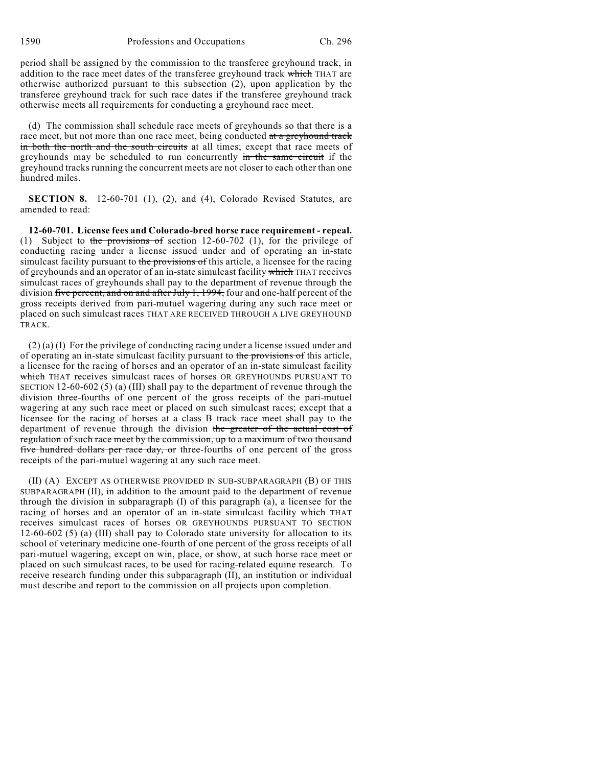period shall be assigned by the commission to the transferee greyhound track, in addition to the race meet dates of the transferee greyhound track which THAT are otherwise authorized pursuant to this subsection (2), upon application by the transferee greyhound track for such race dates if the transferee greyhound track otherwise meets all requirements for conducting a greyhound race meet.

(d) The commission shall schedule race meets of greyhounds so that there is a race meet, but not more than one race meet, being conducted at a greyhound track in both the north and the south circuits at all times; except that race meets of greyhounds may be scheduled to run concurrently in the same circuit if the greyhound tracks running the concurrent meets are not closer to each other than one hundred miles.

**SECTION 8.** 12-60-701 (1), (2), and (4), Colorado Revised Statutes, are amended to read:

**12-60-701. License fees and Colorado-bred horse race requirement - repeal.** (1) Subject to the provisions of section  $12-60-702$  (1), for the privilege of conducting racing under a license issued under and of operating an in-state simulcast facility pursuant to the provisions of this article, a licensee for the racing of greyhounds and an operator of an in-state simulcast facility which THAT receives simulcast races of greyhounds shall pay to the department of revenue through the division five percent, and on and after July 1, 1994, four and one-half percent of the gross receipts derived from pari-mutuel wagering during any such race meet or placed on such simulcast races THAT ARE RECEIVED THROUGH A LIVE GREYHOUND TRACK.

(2) (a) (I) For the privilege of conducting racing under a license issued under and of operating an in-state simulcast facility pursuant to the provisions of this article, a licensee for the racing of horses and an operator of an in-state simulcast facility which THAT receives simulcast races of horses OR GREYHOUNDS PURSUANT TO SECTION 12-60-602 (5) (a) (III) shall pay to the department of revenue through the division three-fourths of one percent of the gross receipts of the pari-mutuel wagering at any such race meet or placed on such simulcast races; except that a licensee for the racing of horses at a class B track race meet shall pay to the department of revenue through the division the greater of the actual cost of regulation of such race meet by the commission, up to a maximum of two thousand five hundred dollars per race day, or three-fourths of one percent of the gross receipts of the pari-mutuel wagering at any such race meet.

(II) (A) EXCEPT AS OTHERWISE PROVIDED IN SUB-SUBPARAGRAPH (B) OF THIS SUBPARAGRAPH (II), in addition to the amount paid to the department of revenue through the division in subparagraph (I) of this paragraph (a), a licensee for the racing of horses and an operator of an in-state simulcast facility which THAT receives simulcast races of horses OR GREYHOUNDS PURSUANT TO SECTION 12-60-602 (5) (a) (III) shall pay to Colorado state university for allocation to its school of veterinary medicine one-fourth of one percent of the gross receipts of all pari-mutuel wagering, except on win, place, or show, at such horse race meet or placed on such simulcast races, to be used for racing-related equine research. To receive research funding under this subparagraph (II), an institution or individual must describe and report to the commission on all projects upon completion.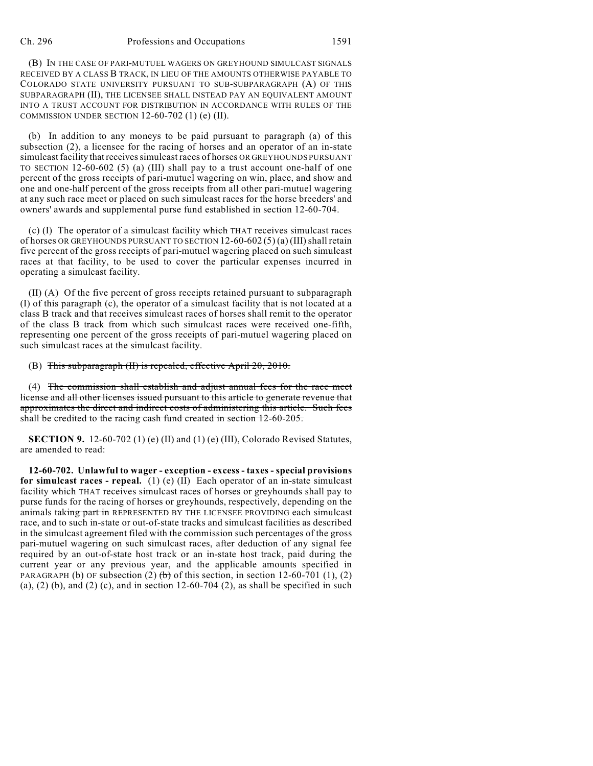#### Ch. 296 Professions and Occupations 1591

(B) IN THE CASE OF PARI-MUTUEL WAGERS ON GREYHOUND SIMULCAST SIGNALS RECEIVED BY A CLASS B TRACK, IN LIEU OF THE AMOUNTS OTHERWISE PAYABLE TO COLORADO STATE UNIVERSITY PURSUANT TO SUB-SUBPARAGRAPH (A) OF THIS SUBPARAGRAPH (II), THE LICENSEE SHALL INSTEAD PAY AN EQUIVALENT AMOUNT INTO A TRUST ACCOUNT FOR DISTRIBUTION IN ACCORDANCE WITH RULES OF THE COMMISSION UNDER SECTION  $12-60-702$  (1) (e) (II).

(b) In addition to any moneys to be paid pursuant to paragraph (a) of this subsection (2), a licensee for the racing of horses and an operator of an in-state simulcast facility that receives simulcast races of horses OR GREYHOUNDS PURSUANT TO SECTION 12-60-602 (5) (a) (III) shall pay to a trust account one-half of one percent of the gross receipts of pari-mutuel wagering on win, place, and show and one and one-half percent of the gross receipts from all other pari-mutuel wagering at any such race meet or placed on such simulcast races for the horse breeders' and owners' awards and supplemental purse fund established in section 12-60-704.

(c) (I) The operator of a simulcast facility which THAT receives simulcast races of horses OR GREYHOUNDS PURSUANT TO SECTION 12-60-602 (5) (a) (III) shall retain five percent of the gross receipts of pari-mutuel wagering placed on such simulcast races at that facility, to be used to cover the particular expenses incurred in operating a simulcast facility.

(II) (A) Of the five percent of gross receipts retained pursuant to subparagraph (I) of this paragraph (c), the operator of a simulcast facility that is not located at a class B track and that receives simulcast races of horses shall remit to the operator of the class B track from which such simulcast races were received one-fifth, representing one percent of the gross receipts of pari-mutuel wagering placed on such simulcast races at the simulcast facility.

(B) This subparagraph (II) is repealed, effective April 20, 2010.

(4) The commission shall establish and adjust annual fees for the race meet license and all other licenses issued pursuant to this article to generate revenue that approximates the direct and indirect costs of administering this article. Such fees shall be credited to the racing cash fund created in section 12-60-205.

**SECTION 9.** 12-60-702 (1) (e) (II) and (1) (e) (III), Colorado Revised Statutes, are amended to read:

**12-60-702. Unlawful to wager - exception - excess - taxes - special provisions for simulcast races - repeal.** (1) (e) (II) Each operator of an in-state simulcast facility which THAT receives simulcast races of horses or greyhounds shall pay to purse funds for the racing of horses or greyhounds, respectively, depending on the animals taking part in REPRESENTED BY THE LICENSEE PROVIDING each simulcast race, and to such in-state or out-of-state tracks and simulcast facilities as described in the simulcast agreement filed with the commission such percentages of the gross pari-mutuel wagering on such simulcast races, after deduction of any signal fee required by an out-of-state host track or an in-state host track, paid during the current year or any previous year, and the applicable amounts specified in PARAGRAPH (b) OF subsection (2)  $(b)$  of this section, in section 12-60-701 (1), (2)  $(a)$ ,  $(2)$   $(b)$ , and  $(2)$   $(c)$ , and in section 12-60-704  $(2)$ , as shall be specified in such